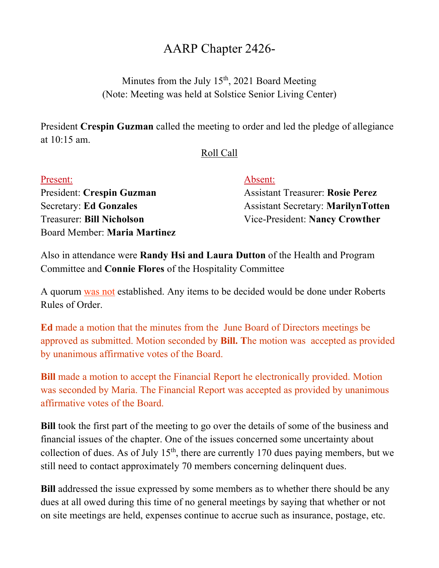## AARP Chapter 2426-

Minutes from the July  $15<sup>th</sup>$ , 2021 Board Meeting (Note: Meeting was held at Solstice Senior Living Center)

President **Crespin Guzman** called the meeting to order and led the pledge of allegiance at 10:15 am.

## Roll Call

| Present:                         | Absent:                                   |
|----------------------------------|-------------------------------------------|
| President: Crespin Guzman        | <b>Assistant Treasurer: Rosie Perez</b>   |
| <b>Secretary: Ed Gonzales</b>    | <b>Assistant Secretary: MarilynTotten</b> |
| <b>Treasurer: Bill Nicholson</b> | Vice-President: Nancy Crowther            |
| Board Member: Maria Martinez     |                                           |

Also in attendance were **Randy Hsi and Laura Dutton** of the Health and Program Committee and **Connie Flores** of the Hospitality Committee

A quorum was not established. Any items to be decided would be done under Roberts Rules of Order.

**Ed** made a motion that the minutes from the June Board of Directors meetings be approved as submitted. Motion seconded by **Bill. T**he motion was accepted as provided by unanimous affirmative votes of the Board.

**Bill** made a motion to accept the Financial Report he electronically provided. Motion was seconded by Maria. The Financial Report was accepted as provided by unanimous affirmative votes of the Board.

**Bill** took the first part of the meeting to go over the details of some of the business and financial issues of the chapter. One of the issues concerned some uncertainty about collection of dues. As of July  $15<sup>th</sup>$ , there are currently 170 dues paying members, but we still need to contact approximately 70 members concerning delinquent dues.

**Bill** addressed the issue expressed by some members as to whether there should be any dues at all owed during this time of no general meetings by saying that whether or not on site meetings are held, expenses continue to accrue such as insurance, postage, etc.